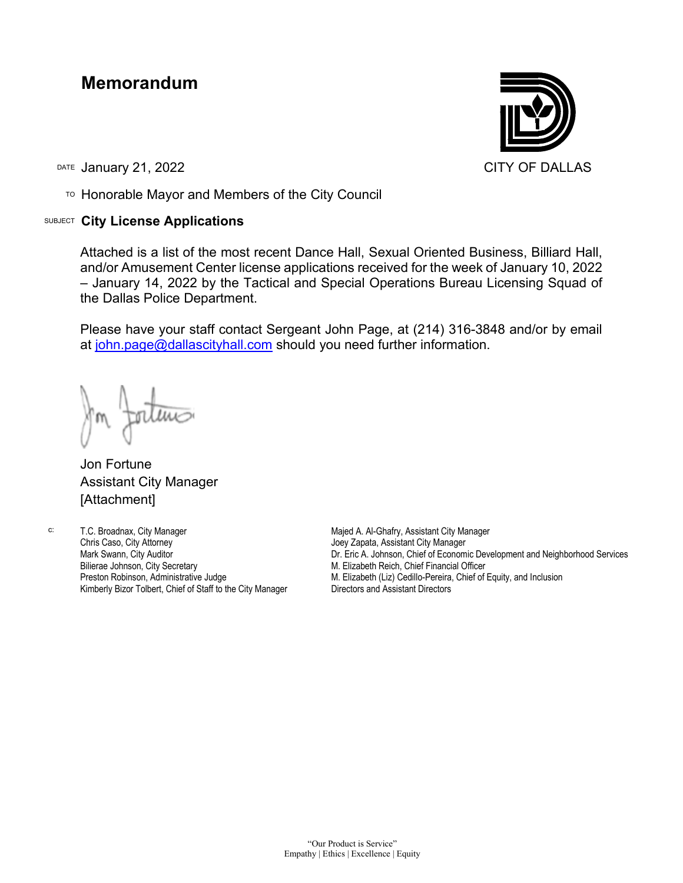## **Memorandum**

DATE January 21, 2022 **CITY OF DALLAS** 

TO Honorable Mayor and Members of the City Council

## SUBJECT **City License Applications**



Attached is a list of the most recent Dance Hall, Sexual Oriented Business, Billiard Hall, and/or Amusement Center license applications received for the week of January 10, 2022 – January 14, 2022 by the Tactical and Special Operations Bureau Licensing Squad of the Dallas Police Department.

Please have your staff contact Sergeant John Page, at (214) 316-3848 and/or by email at [john.page@dallascityhall.com](mailto:john.page@dallascityhall.com) should you need further information.

Jon Fortune Assistant City Manager [Attachment]

c: T.C. Broadnax, City Manager Chris Caso, City Attorney Mark Swann, City Auditor Bilierae Johnson, City Secretary Preston Robinson, Administrative Judge Kimberly Bizor Tolbert, Chief of Staff to the City Manager Majed A. Al-Ghafry, Assistant City Manager Joey Zapata, Assistant City Manager Dr. Eric A. Johnson, Chief of Economic Development and Neighborhood Services M. Elizabeth Reich, Chief Financial Officer M. Elizabeth (Liz) Cedillo-Pereira, Chief of Equity, and Inclusion Directors and Assistant Directors